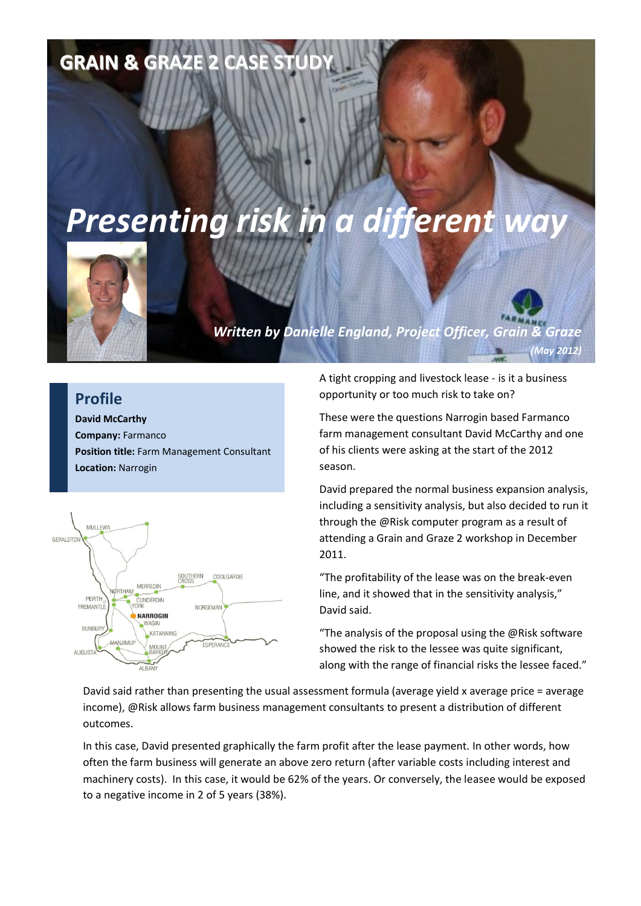## **GRAIN & GRAZE 2 CASE STUDY**

## *Presenting risk in a different way*



*Written by Danielle England, Project Officer, Grain & Graze (May 2012)*

## **Profile**

**David McCarthy Company:** Farmanco **Position title:** Farm Management Consultant **Location:** Narrogin



A tight cropping and livestock lease - is it a business opportunity or too much risk to take on?

These were the questions Narrogin based Farmanco farm management consultant David McCarthy and one of his clients were asking at the start of the 2012 season.

David prepared the normal business expansion analysis, including a sensitivity analysis, but also decided to run it through the @Risk computer program as a result of attending a Grain and Graze 2 workshop in December 2011.

"The profitability of the lease was on the break-even line, and it showed that in the sensitivity analysis," David said.

"The analysis of the proposal using the @Risk software showed the risk to the lessee was quite significant, along with the range of financial risks the lessee faced."

David said rather than presenting the usual assessment formula (average yield x average price = average income), @Risk allows farm business management consultants to present a distribution of different outcomes.

In this case, David presented graphically the farm profit after the lease payment. In other words, how often the farm business will generate an above zero return (after variable costs including interest and machinery costs). In this case, it would be 62% of the years. Or conversely, the leasee would be exposed to a negative income in 2 of 5 years (38%).